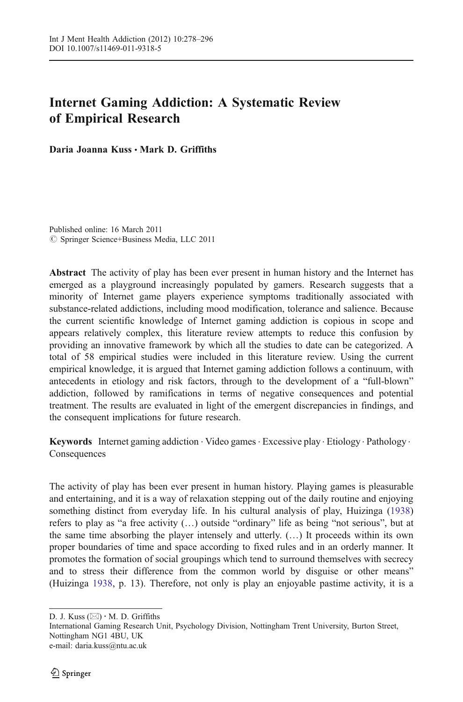# Internet Gaming Addiction: A Systematic Review of Empirical Research

Daria Joanna Kuss · Mark D. Griffiths

Published online: 16 March 2011  $\oslash$  Springer Science+Business Media, LLC 2011

Abstract The activity of play has been ever present in human history and the Internet has emerged as a playground increasingly populated by gamers. Research suggests that a minority of Internet game players experience symptoms traditionally associated with substance-related addictions, including mood modification, tolerance and salience. Because the current scientific knowledge of Internet gaming addiction is copious in scope and appears relatively complex, this literature review attempts to reduce this confusion by providing an innovative framework by which all the studies to date can be categorized. A total of 58 empirical studies were included in this literature review. Using the current empirical knowledge, it is argued that Internet gaming addiction follows a continuum, with antecedents in etiology and risk factors, through to the development of a "full-blown" addiction, followed by ramifications in terms of negative consequences and potential treatment. The results are evaluated in light of the emergent discrepancies in findings, and the consequent implications for future research.

Keywords Internet gaming addiction . Video games . Excessive play . Etiology . Pathology . Consequences

The activity of play has been ever present in human history. Playing games is pleasurable and entertaining, and it is a way of relaxation stepping out of the daily routine and enjoying something distinct from everyday life. In his cultural analysis of play, Huizinga ([1938\)](#page-16-0) refers to play as "a free activity (…) outside "ordinary" life as being "not serious", but at the same time absorbing the player intensely and utterly. (…) It proceeds within its own proper boundaries of time and space according to fixed rules and in an orderly manner. It promotes the formation of social groupings which tend to surround themselves with secrecy and to stress their difference from the common world by disguise or other means" (Huizinga [1938,](#page-16-0) p. 13). Therefore, not only is play an enjoyable pastime activity, it is a

D. J. Kuss  $(\boxtimes) \cdot M$ . D. Griffiths

International Gaming Research Unit, Psychology Division, Nottingham Trent University, Burton Street, Nottingham NG1 4BU, UK

e-mail: daria.kuss@ntu.ac.uk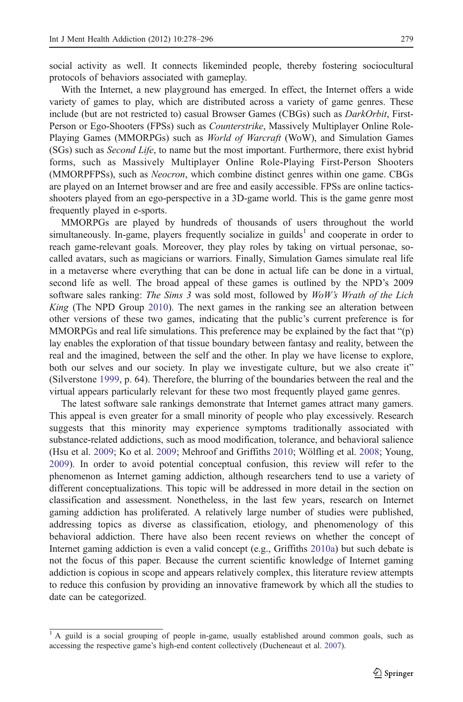social activity as well. It connects likeminded people, thereby fostering sociocultural protocols of behaviors associated with gameplay.

With the Internet, a new playground has emerged. In effect, the Internet offers a wide variety of games to play, which are distributed across a variety of game genres. These include (but are not restricted to) casual Browser Games (CBGs) such as DarkOrbit, First-Person or Ego-Shooters (FPSs) such as Counterstrike, Massively Multiplayer Online Role-Playing Games (MMORPGs) such as World of Warcraft (WoW), and Simulation Games (SGs) such as *Second Life*, to name but the most important. Furthermore, there exist hybrid forms, such as Massively Multiplayer Online Role-Playing First-Person Shooters (MMORPFPSs), such as Neocron, which combine distinct genres within one game. CBGs are played on an Internet browser and are free and easily accessible. FPSs are online tacticsshooters played from an ego-perspective in a 3D-game world. This is the game genre most frequently played in e-sports.

MMORPGs are played by hundreds of thousands of users throughout the world simultaneously. In-game, players frequently socialize in guilds<sup>1</sup> and cooperate in order to reach game-relevant goals. Moreover, they play roles by taking on virtual personae, socalled avatars, such as magicians or warriors. Finally, Simulation Games simulate real life in a metaverse where everything that can be done in actual life can be done in a virtual, second life as well. The broad appeal of these games is outlined by the NPD's 2009 software sales ranking: The Sims 3 was sold most, followed by WoW's Wrath of the Lich King (The NPD Group [2010\)](#page-17-0). The next games in the ranking see an alteration between other versions of these two games, indicating that the public's current preference is for MMORPGs and real life simulations. This preference may be explained by the fact that "(p) lay enables the exploration of that tissue boundary between fantasy and reality, between the real and the imagined, between the self and the other. In play we have license to explore, both our selves and our society. In play we investigate culture, but we also create it" (Silverstone [1999](#page-17-0), p. 64). Therefore, the blurring of the boundaries between the real and the virtual appears particularly relevant for these two most frequently played game genres.

The latest software sale rankings demonstrate that Internet games attract many gamers. This appeal is even greater for a small minority of people who play excessively. Research suggests that this minority may experience symptoms traditionally associated with substance-related addictions, such as mood modification, tolerance, and behavioral salience (Hsu et al. [2009;](#page-16-0) Ko et al. [2009;](#page-16-0) Mehroof and Griffiths [2010](#page-16-0); Wölfling et al. [2008](#page-18-0); Young, [2009\)](#page-18-0). In order to avoid potential conceptual confusion, this review will refer to the phenomenon as Internet gaming addiction, although researchers tend to use a variety of different conceptualizations. This topic will be addressed in more detail in the section on classification and assessment. Nonetheless, in the last few years, research on Internet gaming addiction has proliferated. A relatively large number of studies were published, addressing topics as diverse as classification, etiology, and phenomenology of this behavioral addiction. There have also been recent reviews on whether the concept of Internet gaming addiction is even a valid concept (e.g., Griffiths [2010a\)](#page-15-0) but such debate is not the focus of this paper. Because the current scientific knowledge of Internet gaming addiction is copious in scope and appears relatively complex, this literature review attempts to reduce this confusion by providing an innovative framework by which all the studies to date can be categorized.

<sup>&</sup>lt;sup>1</sup> A guild is a social grouping of people in-game, usually established around common goals, such as accessing the respective game's high-end content collectively (Ducheneaut et al. [2007](#page-15-0)).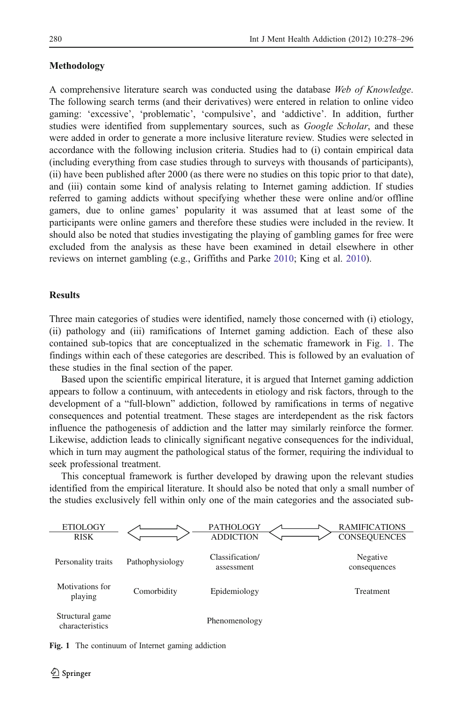## Methodology

A comprehensive literature search was conducted using the database Web of Knowledge. The following search terms (and their derivatives) were entered in relation to online video gaming: 'excessive', 'problematic', 'compulsive', and 'addictive'. In addition, further studies were identified from supplementary sources, such as *Google Scholar*, and these were added in order to generate a more inclusive literature review. Studies were selected in accordance with the following inclusion criteria. Studies had to (i) contain empirical data (including everything from case studies through to surveys with thousands of participants), (ii) have been published after 2000 (as there were no studies on this topic prior to that date), and (iii) contain some kind of analysis relating to Internet gaming addiction. If studies referred to gaming addicts without specifying whether these were online and/or offline gamers, due to online games' popularity it was assumed that at least some of the participants were online gamers and therefore these studies were included in the review. It should also be noted that studies investigating the playing of gambling games for free were excluded from the analysis as these have been examined in detail elsewhere in other reviews on internet gambling (e.g., Griffiths and Parke [2010](#page-15-0); King et al. [2010\)](#page-16-0).

## Results

Three main categories of studies were identified, namely those concerned with (i) etiology, (ii) pathology and (iii) ramifications of Internet gaming addiction. Each of these also contained sub-topics that are conceptualized in the schematic framework in Fig. 1. The findings within each of these categories are described. This is followed by an evaluation of these studies in the final section of the paper.

Based upon the scientific empirical literature, it is argued that Internet gaming addiction appears to follow a continuum, with antecedents in etiology and risk factors, through to the development of a "full-blown" addiction, followed by ramifications in terms of negative consequences and potential treatment. These stages are interdependent as the risk factors influence the pathogenesis of addiction and the latter may similarly reinforce the former. Likewise, addiction leads to clinically significant negative consequences for the individual, which in turn may augment the pathological status of the former, requiring the individual to seek professional treatment.

This conceptual framework is further developed by drawing upon the relevant studies identified from the empirical literature. It should also be noted that only a small number of the studies exclusively fell within only one of the main categories and the associated sub-



Fig. 1 The continuum of Internet gaming addiction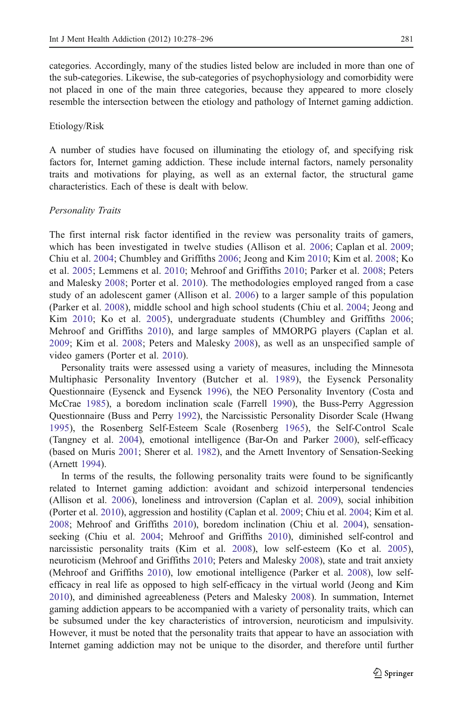categories. Accordingly, many of the studies listed below are included in more than one of the sub-categories. Likewise, the sub-categories of psychophysiology and comorbidity were not placed in one of the main three categories, because they appeared to more closely resemble the intersection between the etiology and pathology of Internet gaming addiction.

## Etiology/Risk

A number of studies have focused on illuminating the etiology of, and specifying risk factors for, Internet gaming addiction. These include internal factors, namely personality traits and motivations for playing, as well as an external factor, the structural game characteristics. Each of these is dealt with below.

## Personality Traits

The first internal risk factor identified in the review was personality traits of gamers, which has been investigated in twelve studies (Allison et al. [2006;](#page-14-0) Caplan et al. [2009](#page-14-0); Chiu et al. [2004](#page-14-0); Chumbley and Griffiths [2006](#page-15-0); Jeong and Kim [2010](#page-16-0); Kim et al. [2008;](#page-16-0) Ko et al. [2005](#page-16-0); Lemmens et al. [2010](#page-16-0); Mehroof and Griffiths [2010](#page-16-0); Parker et al. [2008;](#page-17-0) Peters and Malesky [2008;](#page-17-0) Porter et al. [2010](#page-17-0)). The methodologies employed ranged from a case study of an adolescent gamer (Allison et al. [2006](#page-14-0)) to a larger sample of this population (Parker et al. [2008\)](#page-17-0), middle school and high school students (Chiu et al. [2004](#page-14-0); Jeong and Kim [2010](#page-16-0); Ko et al. [2005](#page-16-0)), undergraduate students (Chumbley and Griffiths [2006](#page-15-0); Mehroof and Griffiths [2010](#page-16-0)), and large samples of MMORPG players (Caplan et al. [2009](#page-14-0); Kim et al. [2008](#page-16-0); Peters and Malesky [2008\)](#page-17-0), as well as an unspecified sample of video gamers (Porter et al. [2010](#page-17-0)).

Personality traits were assessed using a variety of measures, including the Minnesota Multiphasic Personality Inventory (Butcher et al. [1989\)](#page-14-0), the Eysenck Personality Questionnaire (Eysenck and Eysenck [1996](#page-15-0)), the NEO Personality Inventory (Costa and McCrae [1985\)](#page-15-0), a boredom inclination scale (Farrell [1990](#page-15-0)), the Buss-Perry Aggression Questionnaire (Buss and Perry [1992\)](#page-14-0), the Narcissistic Personality Disorder Scale (Hwang [1995](#page-16-0)), the Rosenberg Self-Esteem Scale (Rosenberg [1965](#page-17-0)), the Self-Control Scale (Tangney et al. [2004\)](#page-17-0), emotional intelligence (Bar-On and Parker [2000\)](#page-14-0), self-efficacy (based on Muris [2001](#page-17-0); Sherer et al. [1982\)](#page-17-0), and the Arnett Inventory of Sensation-Seeking (Arnett [1994\)](#page-14-0).

In terms of the results, the following personality traits were found to be significantly related to Internet gaming addiction: avoidant and schizoid interpersonal tendencies (Allison et al. [2006\)](#page-14-0), loneliness and introversion (Caplan et al. [2009](#page-14-0)), social inhibition (Porter et al. [2010](#page-17-0)), aggression and hostility (Caplan et al. [2009](#page-14-0); Chiu et al. [2004](#page-14-0); Kim et al. [2008;](#page-16-0) Mehroof and Griffiths [2010](#page-16-0)), boredom inclination (Chiu et al. [2004\)](#page-14-0), sensationseeking (Chiu et al. [2004](#page-14-0); Mehroof and Griffiths [2010](#page-16-0)), diminished self-control and narcissistic personality traits (Kim et al. [2008](#page-16-0)), low self-esteem (Ko et al. [2005](#page-16-0)), neuroticism (Mehroof and Griffiths [2010](#page-16-0); Peters and Malesky [2008](#page-17-0)), state and trait anxiety (Mehroof and Griffiths [2010\)](#page-16-0), low emotional intelligence (Parker et al. [2008\)](#page-17-0), low selfefficacy in real life as opposed to high self-efficacy in the virtual world (Jeong and Kim [2010\)](#page-16-0), and diminished agreeableness (Peters and Malesky [2008](#page-17-0)). In summation, Internet gaming addiction appears to be accompanied with a variety of personality traits, which can be subsumed under the key characteristics of introversion, neuroticism and impulsivity. However, it must be noted that the personality traits that appear to have an association with Internet gaming addiction may not be unique to the disorder, and therefore until further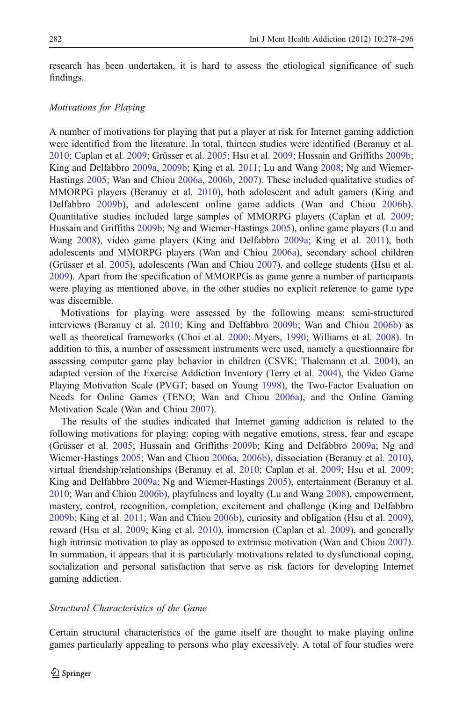research has been undertaken, it is hard to assess the etiological significance of such findings.

## Motivations for Playing

A number of motivations for playing that put a player at risk for Internet gaming addiction were identified from the literature. In total, thirteen studies were identified (Beranuy et al. [2010;](#page-14-0) Caplan et al. [2009](#page-14-0); Grüsser et al. [2005;](#page-15-0) Hsu et al. [2009](#page-16-0); Hussain and Griffiths [2009b](#page-16-0); King and Delfabbro [2009a,](#page-16-0) [2009b;](#page-16-0) King et al. [2011;](#page-16-0) Lu and Wang [2008;](#page-16-0) Ng and Wiemer-Hastings [2005](#page-17-0); Wan and Chiou [2006a](#page-18-0), [2006b,](#page-18-0) [2007](#page-18-0)). These included qualitative studies of MMORPG players (Beranuy et al. [2010](#page-14-0)), both adolescent and adult gamers (King and Delfabbro [2009b](#page-16-0)), and adolescent online game addicts (Wan and Chiou [2006b](#page-18-0)). Quantitative studies included large samples of MMORPG players (Caplan et al. [2009](#page-14-0); Hussain and Griffiths [2009b;](#page-16-0) Ng and Wiemer-Hastings [2005](#page-17-0)), online game players (Lu and Wang [2008\)](#page-16-0), video game players (King and Delfabbro [2009a;](#page-16-0) King et al. [2011](#page-16-0)), both adolescents and MMORPG players (Wan and Chiou [2006a](#page-18-0)), secondary school children (Grüsser et al. [2005](#page-15-0)), adolescents (Wan and Chiou [2007](#page-18-0)), and college students (Hsu et al. [2009\)](#page-16-0). Apart from the specification of MMORPGs as game genre a number of participants were playing as mentioned above, in the other studies no explicit reference to game type was discernible.

Motivations for playing were assessed by the following means: semi-structured interviews (Beranuy et al. [2010;](#page-14-0) King and Delfabbro [2009b;](#page-16-0) Wan and Chiou [2006b\)](#page-18-0) as well as theoretical frameworks (Choi et al. [2000;](#page-14-0) Myers, [1990](#page-17-0); Williams et al. [2008\)](#page-18-0). In addition to this, a number of assessment instruments were used, namely a questionnaire for assessing computer game play behavior in children (CSVK; Thalemann et al. [2004](#page-17-0)), an adapted version of the Exercise Addiction Inventory (Terry et al. [2004\)](#page-17-0), the Video Game Playing Motivation Scale (PVGT; based on Young [1998](#page-18-0)), the Two-Factor Evaluation on Needs for Online Games (TENO; Wan and Chiou [2006a](#page-18-0)), and the Online Gaming Motivation Scale (Wan and Chiou [2007](#page-18-0)).

The results of the studies indicated that Internet gaming addiction is related to the following motivations for playing: coping with negative emotions, stress, fear and escape (Grüsser et al. [2005;](#page-15-0) Hussain and Griffiths [2009b](#page-16-0); King and Delfabbro [2009a;](#page-16-0) Ng and Wiemer-Hastings [2005](#page-17-0); Wan and Chiou [2006a,](#page-18-0) [2006b](#page-18-0)), dissociation (Beranuy et al. [2010](#page-14-0)), virtual friendship/relationships (Beranuy et al. [2010](#page-14-0); Caplan et al. [2009;](#page-14-0) Hsu et al. [2009](#page-16-0); King and Delfabbro [2009a](#page-16-0); Ng and Wiemer-Hastings [2005](#page-17-0)), entertainment (Beranuy et al. [2010;](#page-14-0) Wan and Chiou [2006b\)](#page-18-0), playfulness and loyalty (Lu and Wang [2008\)](#page-16-0), empowerment, mastery, control, recognition, completion, excitement and challenge (King and Delfabbro [2009b](#page-16-0); King et al. [2011](#page-16-0); Wan and Chiou [2006b\)](#page-18-0), curiosity and obligation (Hsu et al. [2009](#page-16-0)), reward (Hsu et al. [2009](#page-16-0); King et al. [2010\)](#page-16-0), immersion (Caplan et al. [2009\)](#page-14-0), and generally high intrinsic motivation to play as opposed to extrinsic motivation (Wan and Chiou [2007](#page-18-0)). In summation, it appears that it is particularly motivations related to dysfunctional coping, socialization and personal satisfaction that serve as risk factors for developing Internet gaming addiction.

## Structural Characteristics of the Game

Certain structural characteristics of the game itself are thought to make playing online games particularly appealing to persons who play excessively. A total of four studies were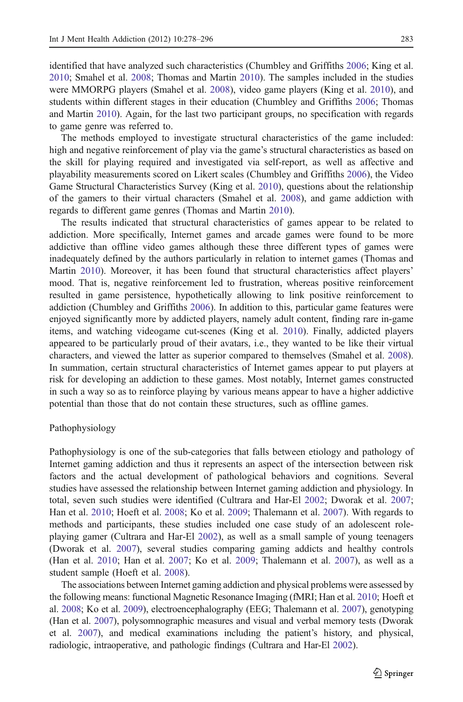identified that have analyzed such characteristics (Chumbley and Griffiths [2006;](#page-15-0) King et al. [2010;](#page-16-0) Smahel et al. [2008](#page-17-0); Thomas and Martin [2010\)](#page-18-0). The samples included in the studies were MMORPG players (Smahel et al. [2008](#page-17-0)), video game players (King et al. [2010](#page-16-0)), and students within different stages in their education (Chumbley and Griffiths [2006](#page-15-0); Thomas and Martin [2010\)](#page-18-0). Again, for the last two participant groups, no specification with regards to game genre was referred to.

The methods employed to investigate structural characteristics of the game included: high and negative reinforcement of play via the game's structural characteristics as based on the skill for playing required and investigated via self-report, as well as affective and playability measurements scored on Likert scales (Chumbley and Griffiths [2006](#page-15-0)), the Video Game Structural Characteristics Survey (King et al. [2010](#page-16-0)), questions about the relationship of the gamers to their virtual characters (Smahel et al. [2008\)](#page-17-0), and game addiction with regards to different game genres (Thomas and Martin [2010](#page-18-0)).

The results indicated that structural characteristics of games appear to be related to addiction. More specifically, Internet games and arcade games were found to be more addictive than offline video games although these three different types of games were inadequately defined by the authors particularly in relation to internet games (Thomas and Martin [2010](#page-18-0)). Moreover, it has been found that structural characteristics affect players' mood. That is, negative reinforcement led to frustration, whereas positive reinforcement resulted in game persistence, hypothetically allowing to link positive reinforcement to addiction (Chumbley and Griffiths [2006\)](#page-15-0). In addition to this, particular game features were enjoyed significantly more by addicted players, namely adult content, finding rare in-game items, and watching videogame cut-scenes (King et al. [2010\)](#page-16-0). Finally, addicted players appeared to be particularly proud of their avatars, i.e., they wanted to be like their virtual characters, and viewed the latter as superior compared to themselves (Smahel et al. [2008](#page-17-0)). In summation, certain structural characteristics of Internet games appear to put players at risk for developing an addiction to these games. Most notably, Internet games constructed in such a way so as to reinforce playing by various means appear to have a higher addictive potential than those that do not contain these structures, such as offline games.

## Pathophysiology

Pathophysiology is one of the sub-categories that falls between etiology and pathology of Internet gaming addiction and thus it represents an aspect of the intersection between risk factors and the actual development of pathological behaviors and cognitions. Several studies have assessed the relationship between Internet gaming addiction and physiology. In total, seven such studies were identified (Cultrara and Har-El [2002](#page-15-0); Dworak et al. [2007](#page-15-0); Han et al. [2010;](#page-15-0) Hoeft et al. [2008](#page-16-0); Ko et al. [2009](#page-16-0); Thalemann et al. [2007\)](#page-17-0). With regards to methods and participants, these studies included one case study of an adolescent roleplaying gamer (Cultrara and Har-El [2002\)](#page-15-0), as well as a small sample of young teenagers (Dworak et al. [2007](#page-15-0)), several studies comparing gaming addicts and healthy controls (Han et al. [2010](#page-15-0); Han et al. [2007](#page-15-0); Ko et al. [2009](#page-16-0); Thalemann et al. [2007\)](#page-17-0), as well as a student sample (Hoeft et al. [2008](#page-16-0)).

The associations between Internet gaming addiction and physical problems were assessed by the following means: functional Magnetic Resonance Imaging (fMRI; Han et al. [2010;](#page-15-0) Hoeft et al. [2008;](#page-16-0) Ko et al. [2009\)](#page-16-0), electroencephalography (EEG; Thalemann et al. [2007](#page-17-0)), genotyping (Han et al. [2007\)](#page-15-0), polysomnographic measures and visual and verbal memory tests (Dworak et al. [2007\)](#page-15-0), and medical examinations including the patient's history, and physical, radiologic, intraoperative, and pathologic findings (Cultrara and Har-El [2002\)](#page-15-0).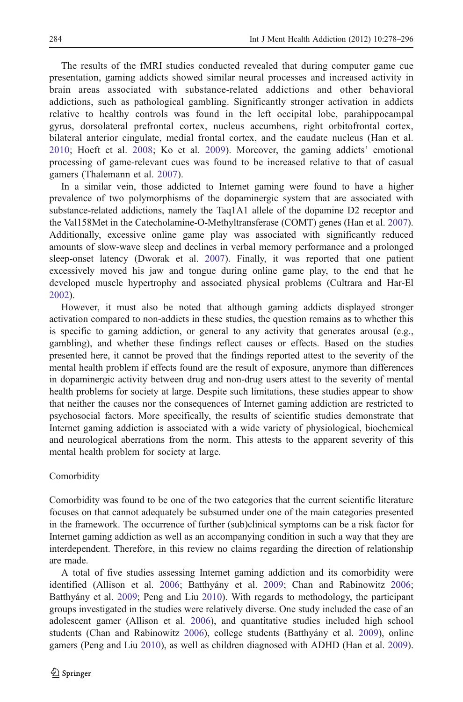The results of the fMRI studies conducted revealed that during computer game cue presentation, gaming addicts showed similar neural processes and increased activity in brain areas associated with substance-related addictions and other behavioral addictions, such as pathological gambling. Significantly stronger activation in addicts relative to healthy controls was found in the left occipital lobe, parahippocampal gyrus, dorsolateral prefrontal cortex, nucleus accumbens, right orbitofrontal cortex, bilateral anterior cingulate, medial frontal cortex, and the caudate nucleus (Han et al. [2010](#page-15-0); Hoeft et al. [2008](#page-16-0); Ko et al. [2009](#page-16-0)). Moreover, the gaming addicts' emotional processing of game-relevant cues was found to be increased relative to that of casual gamers (Thalemann et al. [2007\)](#page-17-0).

In a similar vein, those addicted to Internet gaming were found to have a higher prevalence of two polymorphisms of the dopaminergic system that are associated with substance-related addictions, namely the Taq1A1 allele of the dopamine D2 receptor and the Val158Met in the Catecholamine-O-Methyltransferase (COMT) genes (Han et al. [2007](#page-15-0)). Additionally, excessive online game play was associated with significantly reduced amounts of slow-wave sleep and declines in verbal memory performance and a prolonged sleep-onset latency (Dworak et al. [2007\)](#page-15-0). Finally, it was reported that one patient excessively moved his jaw and tongue during online game play, to the end that he developed muscle hypertrophy and associated physical problems (Cultrara and Har-El [2002\)](#page-15-0).

However, it must also be noted that although gaming addicts displayed stronger activation compared to non-addicts in these studies, the question remains as to whether this is specific to gaming addiction, or general to any activity that generates arousal (e.g., gambling), and whether these findings reflect causes or effects. Based on the studies presented here, it cannot be proved that the findings reported attest to the severity of the mental health problem if effects found are the result of exposure, anymore than differences in dopaminergic activity between drug and non-drug users attest to the severity of mental health problems for society at large. Despite such limitations, these studies appear to show that neither the causes nor the consequences of Internet gaming addiction are restricted to psychosocial factors. More specifically, the results of scientific studies demonstrate that Internet gaming addiction is associated with a wide variety of physiological, biochemical and neurological aberrations from the norm. This attests to the apparent severity of this mental health problem for society at large.

## Comorbidity

Comorbidity was found to be one of the two categories that the current scientific literature focuses on that cannot adequately be subsumed under one of the main categories presented in the framework. The occurrence of further (sub)clinical symptoms can be a risk factor for Internet gaming addiction as well as an accompanying condition in such a way that they are interdependent. Therefore, in this review no claims regarding the direction of relationship are made.

A total of five studies assessing Internet gaming addiction and its comorbidity were identified (Allison et al. [2006;](#page-14-0) Batthyány et al. [2009](#page-14-0); Chan and Rabinowitz [2006](#page-14-0); Batthyány et al. [2009](#page-14-0); Peng and Liu [2010\)](#page-17-0). With regards to methodology, the participant groups investigated in the studies were relatively diverse. One study included the case of an adolescent gamer (Allison et al. [2006\)](#page-14-0), and quantitative studies included high school students (Chan and Rabinowitz [2006\)](#page-14-0), college students (Batthyány et al. [2009](#page-14-0)), online gamers (Peng and Liu [2010\)](#page-17-0), as well as children diagnosed with ADHD (Han et al. [2009](#page-15-0)).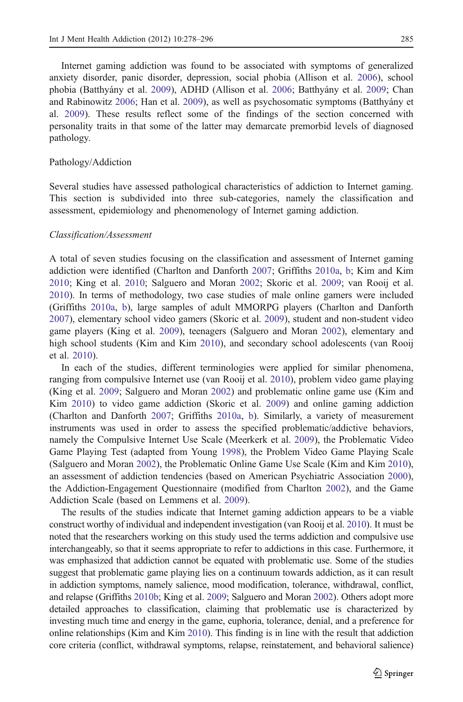Internet gaming addiction was found to be associated with symptoms of generalized anxiety disorder, panic disorder, depression, social phobia (Allison et al. [2006](#page-14-0)), school phobia (Batthyány et al. [2009](#page-14-0)), ADHD (Allison et al. [2006](#page-14-0); Batthyány et al. [2009;](#page-14-0) Chan and Rabinowitz [2006](#page-14-0); Han et al. [2009\)](#page-15-0), as well as psychosomatic symptoms (Batthyány et al. [2009](#page-14-0)). These results reflect some of the findings of the section concerned with personality traits in that some of the latter may demarcate premorbid levels of diagnosed pathology.

#### Pathology/Addiction

Several studies have assessed pathological characteristics of addiction to Internet gaming. This section is subdivided into three sub-categories, namely the classification and assessment, epidemiology and phenomenology of Internet gaming addiction.

#### Classification/Assessment

A total of seven studies focusing on the classification and assessment of Internet gaming addiction were identified (Charlton and Danforth [2007](#page-14-0); Griffiths [2010a](#page-15-0), [b;](#page-15-0) Kim and Kim [2010;](#page-16-0) King et al. [2010](#page-16-0); Salguero and Moran [2002;](#page-17-0) Skoric et al. [2009](#page-17-0); van Rooij et al. [2010\)](#page-18-0). In terms of methodology, two case studies of male online gamers were included (Griffiths [2010a](#page-15-0), [b\)](#page-15-0), large samples of adult MMORPG players (Charlton and Danforth [2007\)](#page-14-0), elementary school video gamers (Skoric et al. [2009\)](#page-17-0), student and non-student video game players (King et al. [2009](#page-16-0)), teenagers (Salguero and Moran [2002](#page-17-0)), elementary and high school students (Kim and Kim [2010](#page-16-0)), and secondary school adolescents (van Rooij et al. [2010\)](#page-18-0).

In each of the studies, different terminologies were applied for similar phenomena, ranging from compulsive Internet use (van Rooij et al. [2010](#page-18-0)), problem video game playing (King et al. [2009](#page-16-0); Salguero and Moran [2002](#page-17-0)) and problematic online game use (Kim and Kim [2010\)](#page-16-0) to video game addiction (Skoric et al. [2009](#page-17-0)) and online gaming addiction (Charlton and Danforth [2007](#page-14-0); Griffiths [2010a](#page-15-0), [b\)](#page-15-0). Similarly, a variety of measurement instruments was used in order to assess the specified problematic/addictive behaviors, namely the Compulsive Internet Use Scale (Meerkerk et al. [2009](#page-16-0)), the Problematic Video Game Playing Test (adapted from Young [1998\)](#page-18-0), the Problem Video Game Playing Scale (Salguero and Moran [2002](#page-17-0)), the Problematic Online Game Use Scale (Kim and Kim [2010](#page-16-0)), an assessment of addiction tendencies (based on American Psychiatric Association [2000](#page-14-0)), the Addiction-Engagement Questionnaire (modified from Charlton [2002](#page-14-0)), and the Game Addiction Scale (based on Lemmens et al. [2009](#page-16-0)).

The results of the studies indicate that Internet gaming addiction appears to be a viable construct worthy of individual and independent investigation (van Rooij et al. [2010\)](#page-18-0). It must be noted that the researchers working on this study used the terms addiction and compulsive use interchangeably, so that it seems appropriate to refer to addictions in this case. Furthermore, it was emphasized that addiction cannot be equated with problematic use. Some of the studies suggest that problematic game playing lies on a continuum towards addiction, as it can result in addiction symptoms, namely salience, mood modification, tolerance, withdrawal, conflict, and relapse (Griffiths [2010b](#page-15-0); King et al. [2009;](#page-16-0) Salguero and Moran [2002](#page-17-0)). Others adopt more detailed approaches to classification, claiming that problematic use is characterized by investing much time and energy in the game, euphoria, tolerance, denial, and a preference for online relationships (Kim and Kim [2010\)](#page-16-0). This finding is in line with the result that addiction core criteria (conflict, withdrawal symptoms, relapse, reinstatement, and behavioral salience)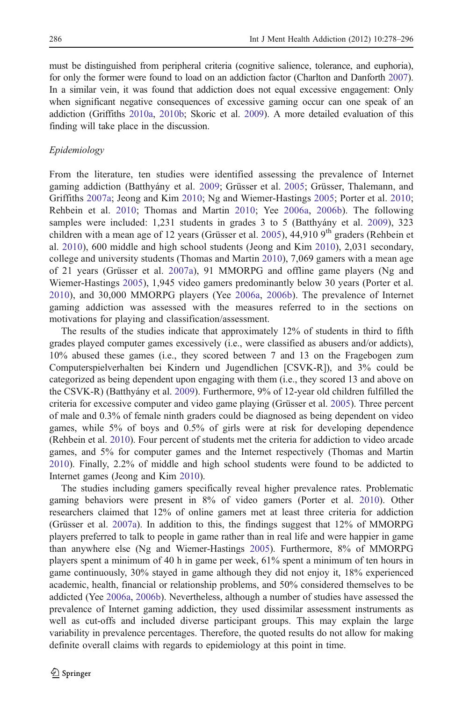must be distinguished from peripheral criteria (cognitive salience, tolerance, and euphoria), for only the former were found to load on an addiction factor (Charlton and Danforth [2007](#page-14-0)). In a similar vein, it was found that addiction does not equal excessive engagement: Only when significant negative consequences of excessive gaming occur can one speak of an addiction (Griffiths [2010a](#page-15-0), [2010b;](#page-15-0) Skoric et al. [2009\)](#page-17-0). A more detailed evaluation of this finding will take place in the discussion.

## Epidemiology

From the literature, ten studies were identified assessing the prevalence of Internet gaming addiction (Batthyány et al. [2009;](#page-14-0) Grüsser et al. [2005](#page-15-0); Grüsser, Thalemann, and Griffiths [2007a;](#page-15-0) Jeong and Kim [2010](#page-16-0); Ng and Wiemer-Hastings [2005](#page-17-0); Porter et al. [2010](#page-17-0); Rehbein et al. [2010](#page-17-0); Thomas and Martin [2010](#page-18-0); Yee [2006a](#page-18-0), [2006b\)](#page-18-0). The following samples were included: 1,231 students in grades 3 to 5 (Batthyány et al. [2009](#page-14-0)), 323 children with a mean age of 12 years (Grüsser et al. [2005](#page-15-0)), 44,910  $9<sup>th</sup>$  graders (Rehbein et al. [2010](#page-17-0)), 600 middle and high school students (Jeong and Kim [2010\)](#page-16-0), 2,031 secondary, college and university students (Thomas and Martin [2010](#page-18-0)), 7,069 gamers with a mean age of 21 years (Grüsser et al. [2007a\)](#page-15-0), 91 MMORPG and offline game players (Ng and Wiemer-Hastings [2005\)](#page-17-0), 1,945 video gamers predominantly below 30 years (Porter et al. [2010](#page-17-0)), and 30,000 MMORPG players (Yee [2006a,](#page-18-0) [2006b](#page-18-0)). The prevalence of Internet gaming addiction was assessed with the measures referred to in the sections on motivations for playing and classification/assessment.

The results of the studies indicate that approximately 12% of students in third to fifth grades played computer games excessively (i.e., were classified as abusers and/or addicts), 10% abused these games (i.e., they scored between 7 and 13 on the Fragebogen zum Computerspielverhalten bei Kindern und Jugendlichen [CSVK-R]), and 3% could be categorized as being dependent upon engaging with them (i.e., they scored 13 and above on the CSVK-R) (Batthyány et al. [2009\)](#page-14-0). Furthermore, 9% of 12-year old children fulfilled the criteria for excessive computer and video game playing (Grüsser et al. [2005\)](#page-15-0). Three percent of male and 0.3% of female ninth graders could be diagnosed as being dependent on video games, while 5% of boys and 0.5% of girls were at risk for developing dependence (Rehbein et al. [2010](#page-17-0)). Four percent of students met the criteria for addiction to video arcade games, and 5% for computer games and the Internet respectively (Thomas and Martin [2010\)](#page-18-0). Finally, 2.2% of middle and high school students were found to be addicted to Internet games (Jeong and Kim [2010\)](#page-16-0).

The studies including gamers specifically reveal higher prevalence rates. Problematic gaming behaviors were present in 8% of video gamers (Porter et al. [2010](#page-17-0)). Other researchers claimed that 12% of online gamers met at least three criteria for addiction (Grüsser et al. [2007a\)](#page-15-0). In addition to this, the findings suggest that 12% of MMORPG players preferred to talk to people in game rather than in real life and were happier in game than anywhere else (Ng and Wiemer-Hastings [2005](#page-17-0)). Furthermore, 8% of MMORPG players spent a minimum of 40 h in game per week, 61% spent a minimum of ten hours in game continuously, 30% stayed in game although they did not enjoy it, 18% experienced academic, health, financial or relationship problems, and 50% considered themselves to be addicted (Yee [2006a](#page-18-0), [2006b\)](#page-18-0). Nevertheless, although a number of studies have assessed the prevalence of Internet gaming addiction, they used dissimilar assessment instruments as well as cut-offs and included diverse participant groups. This may explain the large variability in prevalence percentages. Therefore, the quoted results do not allow for making definite overall claims with regards to epidemiology at this point in time.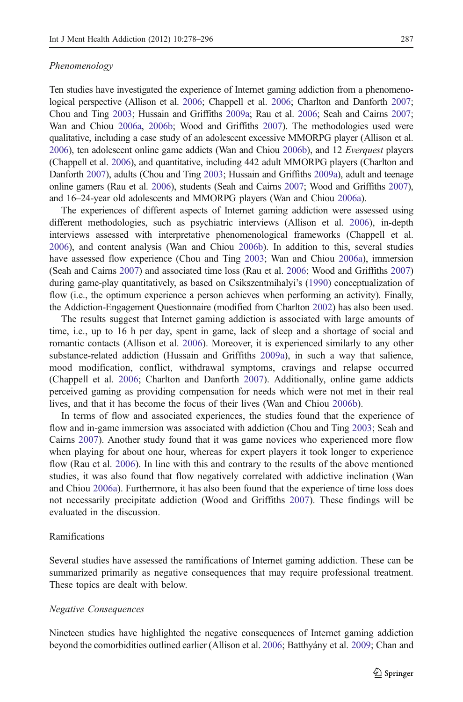## Phenomenology

Ten studies have investigated the experience of Internet gaming addiction from a phenomenological perspective (Allison et al. [2006;](#page-14-0) Chappell et al. [2006](#page-14-0); Charlton and Danforth [2007](#page-14-0); Chou and Ting [2003](#page-15-0); Hussain and Griffiths [2009a;](#page-16-0) Rau et al. [2006](#page-17-0); Seah and Cairns [2007](#page-17-0); Wan and Chiou [2006a](#page-18-0), [2006b](#page-18-0); Wood and Griffiths [2007\)](#page-18-0). The methodologies used were qualitative, including a case study of an adolescent excessive MMORPG player (Allison et al. [2006](#page-14-0)), ten adolescent online game addicts (Wan and Chiou [2006b](#page-18-0)), and 12 Everquest players (Chappell et al. [2006](#page-14-0)), and quantitative, including 442 adult MMORPG players (Charlton and Danforth [2007](#page-14-0)), adults (Chou and Ting [2003;](#page-15-0) Hussain and Griffiths [2009a](#page-16-0)), adult and teenage online gamers (Rau et al. [2006](#page-17-0)), students (Seah and Cairns [2007](#page-17-0); Wood and Griffiths [2007](#page-18-0)), and 16–24-year old adolescents and MMORPG players (Wan and Chiou [2006a\)](#page-18-0).

The experiences of different aspects of Internet gaming addiction were assessed using different methodologies, such as psychiatric interviews (Allison et al. [2006\)](#page-14-0), in-depth interviews assessed with interpretative phenomenological frameworks (Chappell et al. [2006](#page-14-0)), and content analysis (Wan and Chiou [2006b\)](#page-18-0). In addition to this, several studies have assessed flow experience (Chou and Ting [2003;](#page-15-0) Wan and Chiou [2006a](#page-18-0)), immersion (Seah and Cairns [2007\)](#page-17-0) and associated time loss (Rau et al. [2006;](#page-17-0) Wood and Griffiths [2007\)](#page-18-0) during game-play quantitatively, as based on Csikszentmihalyi's ([1990](#page-15-0)) conceptualization of flow (i.e., the optimum experience a person achieves when performing an activity). Finally, the Addiction-Engagement Questionnaire (modified from Charlton [2002](#page-14-0)) has also been used.

The results suggest that Internet gaming addiction is associated with large amounts of time, i.e., up to 16 h per day, spent in game, lack of sleep and a shortage of social and romantic contacts (Allison et al. [2006](#page-14-0)). Moreover, it is experienced similarly to any other substance-related addiction (Hussain and Griffiths [2009a](#page-16-0)), in such a way that salience, mood modification, conflict, withdrawal symptoms, cravings and relapse occurred (Chappell et al. [2006](#page-14-0); Charlton and Danforth [2007](#page-14-0)). Additionally, online game addicts perceived gaming as providing compensation for needs which were not met in their real lives, and that it has become the focus of their lives (Wan and Chiou [2006b](#page-18-0)).

In terms of flow and associated experiences, the studies found that the experience of flow and in-game immersion was associated with addiction (Chou and Ting [2003](#page-15-0); Seah and Cairns [2007](#page-17-0)). Another study found that it was game novices who experienced more flow when playing for about one hour, whereas for expert players it took longer to experience flow (Rau et al. [2006](#page-17-0)). In line with this and contrary to the results of the above mentioned studies, it was also found that flow negatively correlated with addictive inclination (Wan and Chiou [2006a](#page-18-0)). Furthermore, it has also been found that the experience of time loss does not necessarily precipitate addiction (Wood and Griffiths [2007\)](#page-18-0). These findings will be evaluated in the discussion.

# Ramifications

Several studies have assessed the ramifications of Internet gaming addiction. These can be summarized primarily as negative consequences that may require professional treatment. These topics are dealt with below.

#### Negative Consequences

Nineteen studies have highlighted the negative consequences of Internet gaming addiction beyond the comorbidities outlined earlier (Allison et al. [2006;](#page-14-0) Batthyány et al. [2009](#page-14-0); Chan and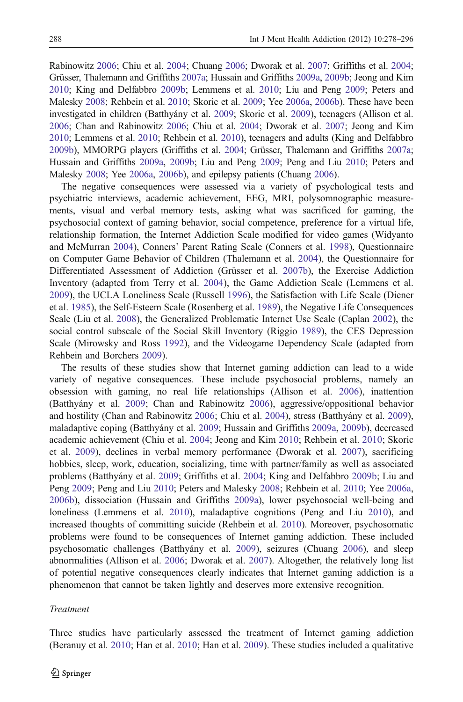Rabinowitz [2006;](#page-14-0) Chiu et al. [2004;](#page-14-0) Chuang [2006;](#page-15-0) Dworak et al. [2007;](#page-15-0) Griffiths et al. [2004](#page-15-0); Grüsser, Thalemann and Griffiths [2007a](#page-15-0); Hussain and Griffiths [2009a,](#page-16-0) [2009b;](#page-16-0) Jeong and Kim [2010](#page-16-0); King and Delfabbro [2009b;](#page-16-0) Lemmens et al. [2010;](#page-16-0) Liu and Peng [2009](#page-16-0); Peters and Malesky [2008;](#page-17-0) Rehbein et al. [2010;](#page-17-0) Skoric et al. [2009](#page-17-0); Yee [2006a,](#page-18-0) [2006b](#page-18-0)). These have been investigated in children (Batthyány et al. [2009;](#page-14-0) Skoric et al. [2009\)](#page-17-0), teenagers (Allison et al. [2006](#page-14-0); Chan and Rabinowitz [2006;](#page-14-0) Chiu et al. [2004](#page-14-0); Dworak et al. [2007](#page-15-0); Jeong and Kim [2010](#page-16-0); Lemmens et al. [2010;](#page-16-0) Rehbein et al. [2010](#page-17-0)), teenagers and adults (King and Delfabbro [2009b\)](#page-16-0), MMORPG players (Griffiths et al. [2004;](#page-15-0) Grüsser, Thalemann and Griffiths [2007a](#page-15-0); Hussain and Griffiths [2009a](#page-16-0), [2009b](#page-16-0); Liu and Peng [2009;](#page-16-0) Peng and Liu [2010;](#page-17-0) Peters and Malesky [2008](#page-17-0); Yee [2006a](#page-18-0), [2006b\)](#page-18-0), and epilepsy patients (Chuang [2006\)](#page-15-0).

The negative consequences were assessed via a variety of psychological tests and psychiatric interviews, academic achievement, EEG, MRI, polysomnographic measurements, visual and verbal memory tests, asking what was sacrificed for gaming, the psychosocial context of gaming behavior, social competence, preference for a virtual life, relationship formation, the Internet Addiction Scale modified for video games (Widyanto and McMurran [2004\)](#page-18-0), Conners' Parent Rating Scale (Conners et al. [1998](#page-15-0)), Questionnaire on Computer Game Behavior of Children (Thalemann et al. [2004](#page-17-0)), the Questionnaire for Differentiated Assessment of Addiction (Grüsser et al. [2007b](#page-15-0)), the Exercise Addiction Inventory (adapted from Terry et al. [2004](#page-17-0)), the Game Addiction Scale (Lemmens et al. [2009\)](#page-16-0), the UCLA Loneliness Scale (Russell [1996\)](#page-17-0), the Satisfaction with Life Scale (Diener et al. [1985](#page-15-0)), the Self-Esteem Scale (Rosenberg et al. [1989](#page-17-0)), the Negative Life Consequences Scale (Liu et al. [2008\)](#page-16-0), the Generalized Problematic Internet Use Scale (Caplan [2002\)](#page-14-0), the social control subscale of the Social Skill Inventory (Riggio [1989](#page-17-0)), the CES Depression Scale (Mirowsky and Ross [1992\)](#page-16-0), and the Videogame Dependency Scale (adapted from Rehbein and Borchers [2009\)](#page-17-0).

The results of these studies show that Internet gaming addiction can lead to a wide variety of negative consequences. These include psychosocial problems, namely an obsession with gaming, no real life relationships (Allison et al. [2006\)](#page-14-0), inattention (Batthyány et al. [2009](#page-14-0); Chan and Rabinowitz [2006](#page-14-0)), aggressive/oppositional behavior and hostility (Chan and Rabinowitz [2006;](#page-14-0) Chiu et al. [2004\)](#page-14-0), stress (Batthyány et al. [2009](#page-14-0)), maladaptive coping (Batthyány et al. [2009](#page-14-0); Hussain and Griffiths [2009a](#page-16-0), [2009b\)](#page-16-0), decreased academic achievement (Chiu et al. [2004](#page-14-0); Jeong and Kim [2010](#page-16-0); Rehbein et al. [2010;](#page-17-0) Skoric et al. [2009](#page-17-0)), declines in verbal memory performance (Dworak et al. [2007](#page-15-0)), sacrificing hobbies, sleep, work, education, socializing, time with partner/family as well as associated problems (Batthyány et al. [2009](#page-14-0); Griffiths et al. [2004;](#page-15-0) King and Delfabbro [2009b;](#page-16-0) Liu and Peng [2009](#page-16-0); Peng and Liu [2010;](#page-17-0) Peters and Malesky [2008;](#page-17-0) Rehbein et al. [2010](#page-17-0); Yee [2006a](#page-18-0), [2006b](#page-18-0)), dissociation (Hussain and Griffiths [2009a](#page-16-0)), lower psychosocial well-being and loneliness (Lemmens et al. [2010\)](#page-16-0), maladaptive cognitions (Peng and Liu [2010](#page-17-0)), and increased thoughts of committing suicide (Rehbein et al. [2010](#page-17-0)). Moreover, psychosomatic problems were found to be consequences of Internet gaming addiction. These included psychosomatic challenges (Batthyány et al. [2009](#page-14-0)), seizures (Chuang [2006\)](#page-15-0), and sleep abnormalities (Allison et al. [2006](#page-14-0); Dworak et al. [2007](#page-15-0)). Altogether, the relatively long list of potential negative consequences clearly indicates that Internet gaming addiction is a phenomenon that cannot be taken lightly and deserves more extensive recognition.

## Treatment

Three studies have particularly assessed the treatment of Internet gaming addiction (Beranuy et al. [2010](#page-14-0); Han et al. [2010](#page-15-0); Han et al. [2009](#page-15-0)). These studies included a qualitative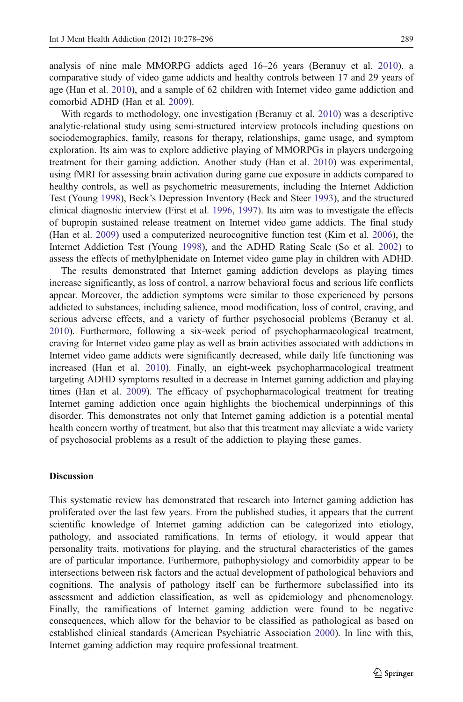analysis of nine male MMORPG addicts aged 16–26 years (Beranuy et al. [2010](#page-14-0)), a comparative study of video game addicts and healthy controls between 17 and 29 years of age (Han et al. [2010\)](#page-15-0), and a sample of 62 children with Internet video game addiction and comorbid ADHD (Han et al. [2009\)](#page-15-0).

With regards to methodology, one investigation (Beranuy et al. [2010\)](#page-14-0) was a descriptive analytic-relational study using semi-structured interview protocols including questions on sociodemographics, family, reasons for therapy, relationships, game usage, and symptom exploration. Its aim was to explore addictive playing of MMORPGs in players undergoing treatment for their gaming addiction. Another study (Han et al. [2010](#page-15-0)) was experimental, using fMRI for assessing brain activation during game cue exposure in addicts compared to healthy controls, as well as psychometric measurements, including the Internet Addiction Test (Young [1998](#page-18-0)), Beck's Depression Inventory (Beck and Steer [1993\)](#page-14-0), and the structured clinical diagnostic interview (First et al. [1996,](#page-15-0) [1997\)](#page-15-0). Its aim was to investigate the effects of bupropin sustained release treatment on Internet video game addicts. The final study (Han et al. [2009\)](#page-15-0) used a computerized neurocognitive function test (Kim et al. [2006\)](#page-16-0), the Internet Addiction Test (Young [1998\)](#page-18-0), and the ADHD Rating Scale (So et al. [2002](#page-17-0)) to assess the effects of methylphenidate on Internet video game play in children with ADHD.

The results demonstrated that Internet gaming addiction develops as playing times increase significantly, as loss of control, a narrow behavioral focus and serious life conflicts appear. Moreover, the addiction symptoms were similar to those experienced by persons addicted to substances, including salience, mood modification, loss of control, craving, and serious adverse effects, and a variety of further psychosocial problems (Beranuy et al. [2010\)](#page-14-0). Furthermore, following a six-week period of psychopharmacological treatment, craving for Internet video game play as well as brain activities associated with addictions in Internet video game addicts were significantly decreased, while daily life functioning was increased (Han et al. [2010](#page-15-0)). Finally, an eight-week psychopharmacological treatment targeting ADHD symptoms resulted in a decrease in Internet gaming addiction and playing times (Han et al. [2009\)](#page-15-0). The efficacy of psychopharmacological treatment for treating Internet gaming addiction once again highlights the biochemical underpinnings of this disorder. This demonstrates not only that Internet gaming addiction is a potential mental health concern worthy of treatment, but also that this treatment may alleviate a wide variety of psychosocial problems as a result of the addiction to playing these games.

## **Discussion**

This systematic review has demonstrated that research into Internet gaming addiction has proliferated over the last few years. From the published studies, it appears that the current scientific knowledge of Internet gaming addiction can be categorized into etiology, pathology, and associated ramifications. In terms of etiology, it would appear that personality traits, motivations for playing, and the structural characteristics of the games are of particular importance. Furthermore, pathophysiology and comorbidity appear to be intersections between risk factors and the actual development of pathological behaviors and cognitions. The analysis of pathology itself can be furthermore subclassified into its assessment and addiction classification, as well as epidemiology and phenomenology. Finally, the ramifications of Internet gaming addiction were found to be negative consequences, which allow for the behavior to be classified as pathological as based on established clinical standards (American Psychiatric Association [2000](#page-14-0)). In line with this, Internet gaming addiction may require professional treatment.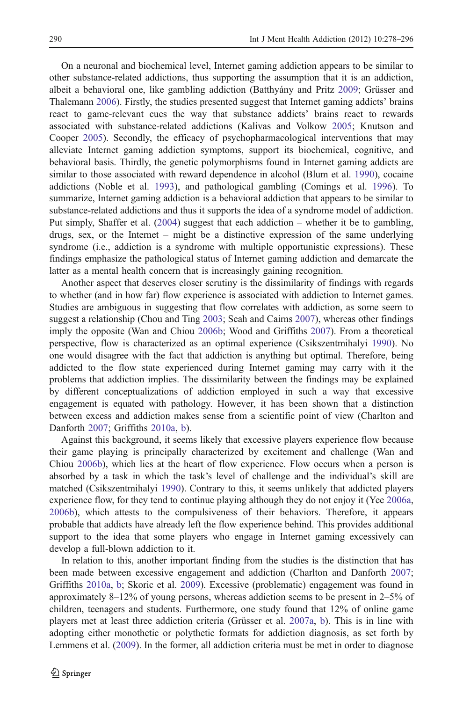On a neuronal and biochemical level, Internet gaming addiction appears to be similar to other substance-related addictions, thus supporting the assumption that it is an addiction, albeit a behavioral one, like gambling addiction (Batthyány and Pritz [2009;](#page-14-0) Grüsser and Thalemann [2006](#page-15-0)). Firstly, the studies presented suggest that Internet gaming addicts' brains react to game-relevant cues the way that substance addicts' brains react to rewards associated with substance-related addictions (Kalivas and Volkow [2005](#page-16-0); Knutson and Cooper [2005\)](#page-16-0). Secondly, the efficacy of psychopharmacological interventions that may alleviate Internet gaming addiction symptoms, support its biochemical, cognitive, and behavioral basis. Thirdly, the genetic polymorphisms found in Internet gaming addicts are similar to those associated with reward dependence in alcohol (Blum et al. [1990\)](#page-14-0), cocaine addictions (Noble et al. [1993\)](#page-17-0), and pathological gambling (Comings et al. [1996](#page-15-0)). To summarize, Internet gaming addiction is a behavioral addiction that appears to be similar to substance-related addictions and thus it supports the idea of a syndrome model of addiction. Put simply, Shaffer et al. [\(2004](#page-17-0)) suggest that each addiction – whether it be to gambling, drugs, sex, or the Internet – might be a distinctive expression of the same underlying syndrome (i.e., addiction is a syndrome with multiple opportunistic expressions). These findings emphasize the pathological status of Internet gaming addiction and demarcate the latter as a mental health concern that is increasingly gaining recognition.

Another aspect that deserves closer scrutiny is the dissimilarity of findings with regards to whether (and in how far) flow experience is associated with addiction to Internet games. Studies are ambiguous in suggesting that flow correlates with addiction, as some seem to suggest a relationship (Chou and Ting [2003;](#page-15-0) Seah and Cairns [2007](#page-17-0)), whereas other findings imply the opposite (Wan and Chiou [2006b;](#page-18-0) Wood and Griffiths [2007\)](#page-18-0). From a theoretical perspective, flow is characterized as an optimal experience (Csikszentmihalyi [1990\)](#page-15-0). No one would disagree with the fact that addiction is anything but optimal. Therefore, being addicted to the flow state experienced during Internet gaming may carry with it the problems that addiction implies. The dissimilarity between the findings may be explained by different conceptualizations of addiction employed in such a way that excessive engagement is equated with pathology. However, it has been shown that a distinction between excess and addiction makes sense from a scientific point of view (Charlton and Danforth [2007;](#page-14-0) Griffiths [2010a](#page-15-0), [b\)](#page-15-0).

Against this background, it seems likely that excessive players experience flow because their game playing is principally characterized by excitement and challenge (Wan and Chiou [2006b](#page-18-0)), which lies at the heart of flow experience. Flow occurs when a person is absorbed by a task in which the task's level of challenge and the individual's skill are matched (Csikszentmihalyi [1990\)](#page-15-0). Contrary to this, it seems unlikely that addicted players experience flow, for they tend to continue playing although they do not enjoy it (Yee [2006a](#page-18-0), [2006b](#page-18-0)), which attests to the compulsiveness of their behaviors. Therefore, it appears probable that addicts have already left the flow experience behind. This provides additional support to the idea that some players who engage in Internet gaming excessively can develop a full-blown addiction to it.

In relation to this, another important finding from the studies is the distinction that has been made between excessive engagement and addiction (Charlton and Danforth [2007](#page-14-0); Griffiths [2010a](#page-15-0), [b](#page-15-0); Skoric et al. [2009](#page-17-0)). Excessive (problematic) engagement was found in approximately 8–12% of young persons, whereas addiction seems to be present in 2–5% of children, teenagers and students. Furthermore, one study found that 12% of online game players met at least three addiction criteria (Grüsser et al. [2007a,](#page-15-0) [b\)](#page-15-0). This is in line with adopting either monothetic or polythetic formats for addiction diagnosis, as set forth by Lemmens et al. [\(2009](#page-16-0)). In the former, all addiction criteria must be met in order to diagnose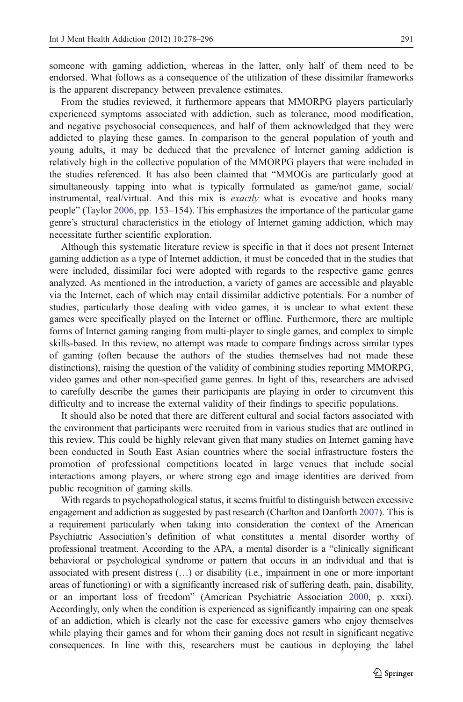someone with gaming addiction, whereas in the latter, only half of them need to be endorsed. What follows as a consequence of the utilization of these dissimilar frameworks is the apparent discrepancy between prevalence estimates.

From the studies reviewed, it furthermore appears that MMORPG players particularly experienced symptoms associated with addiction, such as tolerance, mood modification, and negative psychosocial consequences, and half of them acknowledged that they were addicted to playing these games. In comparison to the general population of youth and young adults, it may be deduced that the prevalence of Internet gaming addiction is relatively high in the collective population of the MMORPG players that were included in the studies referenced. It has also been claimed that "MMOGs are particularly good at simultaneously tapping into what is typically formulated as game/not game, social/ instrumental, real/virtual. And this mix is *exactly* what is evocative and hooks many people" (Taylor [2006](#page-17-0), pp. 153–154). This emphasizes the importance of the particular game genre's structural characteristics in the etiology of Internet gaming addiction, which may necessitate further scientific exploration.

Although this systematic literature review is specific in that it does not present Internet gaming addiction as a type of Internet addiction, it must be conceded that in the studies that were included, dissimilar foci were adopted with regards to the respective game genres analyzed. As mentioned in the introduction, a variety of games are accessible and playable via the Internet, each of which may entail dissimilar addictive potentials. For a number of studies, particularly those dealing with video games, it is unclear to what extent these games were specifically played on the Internet or offline. Furthermore, there are multiple forms of Internet gaming ranging from multi-player to single games, and complex to simple skills-based. In this review, no attempt was made to compare findings across similar types of gaming (often because the authors of the studies themselves had not made these distinctions), raising the question of the validity of combining studies reporting MMORPG, video games and other non-specified game genres. In light of this, researchers are advised to carefully describe the games their participants are playing in order to circumvent this difficulty and to increase the external validity of their findings to specific populations.

It should also be noted that there are different cultural and social factors associated with the environment that participants were recruited from in various studies that are outlined in this review. This could be highly relevant given that many studies on Internet gaming have been conducted in South East Asian countries where the social infrastructure fosters the promotion of professional competitions located in large venues that include social interactions among players, or where strong ego and image identities are derived from public recognition of gaming skills.

With regards to psychopathological status, it seems fruitful to distinguish between excessive engagement and addiction as suggested by past research (Charlton and Danforth [2007\)](#page-14-0). This is a requirement particularly when taking into consideration the context of the American Psychiatric Association's definition of what constitutes a mental disorder worthy of professional treatment. According to the APA, a mental disorder is a "clinically significant behavioral or psychological syndrome or pattern that occurs in an individual and that is associated with present distress (…) or disability (i.e., impairment in one or more important areas of functioning) or with a significantly increased risk of suffering death, pain, disability, or an important loss of freedom" (American Psychiatric Association [2000,](#page-14-0) p. xxxi). Accordingly, only when the condition is experienced as significantly impairing can one speak of an addiction, which is clearly not the case for excessive gamers who enjoy themselves while playing their games and for whom their gaming does not result in significant negative consequences. In line with this, researchers must be cautious in deploying the label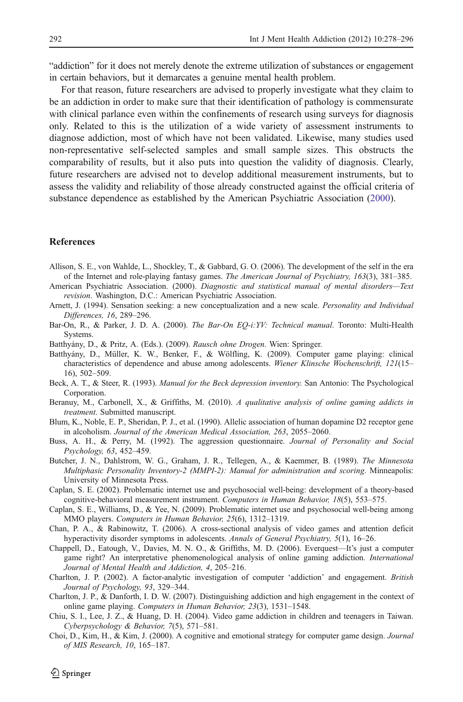<span id="page-14-0"></span>"addiction" for it does not merely denote the extreme utilization of substances or engagement in certain behaviors, but it demarcates a genuine mental health problem.

For that reason, future researchers are advised to properly investigate what they claim to be an addiction in order to make sure that their identification of pathology is commensurate with clinical parlance even within the confinements of research using surveys for diagnosis only. Related to this is the utilization of a wide variety of assessment instruments to diagnose addiction, most of which have not been validated. Likewise, many studies used non-representative self-selected samples and small sample sizes. This obstructs the comparability of results, but it also puts into question the validity of diagnosis. Clearly, future researchers are advised not to develop additional measurement instruments, but to assess the validity and reliability of those already constructed against the official criteria of substance dependence as established by the American Psychiatric Association (2000).

#### References

- Allison, S. E., von Wahlde, L., Shockley, T., & Gabbard, G. O. (2006). The development of the self in the era of the Internet and role-playing fantasy games. The American Journal of Psychiatry, 163(3), 381–385.
- American Psychiatric Association. (2000). Diagnostic and statistical manual of mental disorders-Text revision. Washington, D.C.: American Psychiatric Association.
- Arnett, J. (1994). Sensation seeking: a new conceptualization and a new scale. Personality and Individual Differences, 16, 289–296.
- Bar-On, R., & Parker, J. D. A. (2000). The Bar-On EQ-i:YV: Technical manual. Toronto: Multi-Health Systems.
- Batthyány, D., & Pritz, A. (Eds.). (2009). Rausch ohne Drogen. Wien: Springer.
- Batthyány, D., Müller, K. W., Benker, F., & Wölfling, K. (2009). Computer game playing: clinical characteristics of dependence and abuse among adolescents. Wiener Klinsche Wochenschrift, 121(15– 16), 502–509.
- Beck, A. T., & Steer, R. (1993). Manual for the Beck depression inventory. San Antonio: The Psychological Corporation.
- Beranuy, M., Carbonell, X., & Griffiths, M. (2010). A qualitative analysis of online gaming addicts in treatment. Submitted manuscript.
- Blum, K., Noble, E. P., Sheridan, P. J., et al. (1990). Allelic association of human dopamine D2 receptor gene in alcoholism. Journal of the American Medical Association, 263, 2055–2060.
- Buss, A. H., & Perry, M. (1992). The aggression questionnaire. Journal of Personality and Social Psychology, 63, 452–459.
- Butcher, J. N., Dahlstrom, W. G., Graham, J. R., Tellegen, A., & Kaemmer, B. (1989). The Minnesota Multiphasic Personality Inventory-2 (MMPI-2): Manual for administration and scoring. Minneapolis: University of Minnesota Press.
- Caplan, S. E. (2002). Problematic internet use and psychosocial well-being: development of a theory-based cognitive-behavioral measurement instrument. Computers in Human Behavior, 18(5), 553–575.
- Caplan, S. E., Williams, D., & Yee, N. (2009). Problematic internet use and psychosocial well-being among MMO players. Computers in Human Behavior, 25(6), 1312–1319.
- Chan, P. A., & Rabinowitz, T. (2006). A cross-sectional analysis of video games and attention deficit hyperactivity disorder symptoms in adolescents. Annals of General Psychiatry, 5(1), 16–26.
- Chappell, D., Eatough, V., Davies, M. N. O., & Griffiths, M. D. (2006). Everquest—It's just a computer game right? An interpretative phenomenological analysis of online gaming addiction. International Journal of Mental Health and Addiction, 4, 205–216.
- Charlton, J. P. (2002). A factor-analytic investigation of computer 'addiction' and engagement. British Journal of Psychology, 93, 329–344.
- Charlton, J. P., & Danforth, I. D. W. (2007). Distinguishing addiction and high engagement in the context of online game playing. Computers in Human Behavior, 23(3), 1531–1548.
- Chiu, S. I., Lee, J. Z., & Huang, D. H. (2004). Video game addiction in children and teenagers in Taiwan. Cyberpsychology & Behavior, 7(5), 571–581.
- Choi, D., Kim, H., & Kim, J. (2000). A cognitive and emotional strategy for computer game design. Journal of MIS Research, 10, 165–187.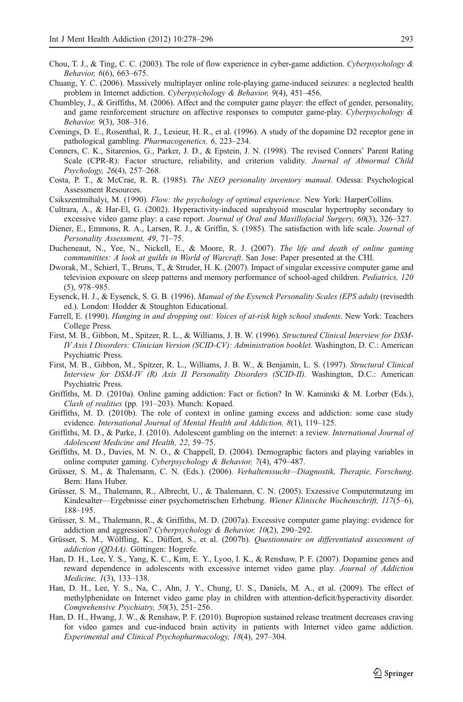- <span id="page-15-0"></span>Chou, T. J., & Ting, C. C. (2003). The role of flow experience in cyber-game addiction. Cyberpsychology & Behavior, 6(6), 663–675.
- Chuang, Y. C. (2006). Massively multiplayer online role-playing game-induced seizures: a neglected health problem in Internet addiction. Cyberpsychology & Behavior, 9(4), 451–456.
- Chumbley, J., & Griffiths, M. (2006). Affect and the computer game player: the effect of gender, personality, and game reinforcement structure on affective responses to computer game-play. Cyberpsychology & Behavior, 9(3), 308–316.
- Comings, D. E., Rosenthal, R. J., Lesieur, H. R., et al. (1996). A study of the dopamine D2 receptor gene in pathological gambling. Pharmacogenetics, 6, 223–234.
- Conners, C. K., Sitarenios, G., Parker, J. D., & Epstein, J. N. (1998). The revised Conners' Parent Rating Scale (CPR-R): Factor structure, reliability, and criterion validity. Journal of Abnormal Child Psychology, 26(4), 257–268.
- Costa, P. T., & McCrae, R. R. (1985). The NEO personality inventory manual. Odessa: Psychological Assessment Resources.
- Csikszentmihalyi, M. (1990). Flow: the psychology of optimal experience. New York: HarperCollins.
- Cultrara, A., & Har-El, G. (2002). Hyperactivity-induced suprahyoid muscular hypertrophy secondary to excessive video game play: a case report. Journal of Oral and Maxillofacial Surgery, 60(3), 326–327.
- Diener, E., Emmons, R. A., Larsen, R. J., & Griffin, S. (1985). The satisfaction with life scale. *Journal of* Personality Assessment, 49, 71–75.
- Ducheneaut, N., Yee, N., Nickell, E., & Moore, R. J. (2007). The life and death of online gaming communitites: A look at guilds in World of Warcraft. San Jose: Paper presented at the CHI.
- Dworak, M., Schierl, T., Bruns, T., & Struder, H. K. (2007). Impact of singular excessive computer game and television exposure on sleep patterns and memory performance of school-aged children. Pediatrics, 120 (5), 978–985.
- Eysenck, H. J., & Eysenck, S. G. B. (1996). Manual of the Eysenck Personality Scales (EPS adult) (revisedth ed.). London: Hodder & Stoughton Educational.
- Farrell, E. (1990). Hanging in and dropping out: Voices of at-risk high school students. New York: Teachers College Press.
- First, M. B., Gibbon, M., Spitzer, R. L., & Williams, J. B. W. (1996). Structured Clinical Interview for DSM-IV Axis I Disorders: Clinician Version (SCID-CV): Administration booklet. Washington, D. C.: American Psychiatric Press.
- First, M. B., Gibbon, M., Spitzer, R. L., Williams, J. B. W., & Benjamin, L. S. (1997). Structural Clinical Interview for DSM-IV (R) Axis II Personality Disorders (SCID-II). Washington, D.C.: American Psychiatric Press.
- Griffiths, M. D. (2010a). Online gaming addiction: Fact or fiction? In W. Kaminski & M. Lorber (Eds.), Clash of realities (pp. 191–203). Munch: Kopaed.
- Griffiths, M. D. (2010b). The role of context in online gaming excess and addiction: some case study evidence. International Journal of Mental Health and Addiction, 8(1), 119–125.
- Griffiths, M. D., & Parke, J. (2010). Adolescent gambling on the internet: a review. International Journal of Adolescent Medicine and Health, 22, 59–75.
- Griffiths, M. D., Davies, M. N. O., & Chappell, D. (2004). Demographic factors and playing variables in online computer gaming. Cyberpsychology & Behavior, 7(4), 479–487.
- Grüsser, S. M., & Thalemann, C. N. (Eds.). (2006). Verhaltenssucht—Diagnostik, Therapie, Forschung. Bern: Hans Huber.
- Grüsser, S. M., Thalemann, R., Albrecht, U., & Thalemann, C. N. (2005). Exzessive Computernutzung im Kindesalter—Ergebnisse einer psychometrischen Erhebung. Wiener Klinische Wochenschrift, 117(5–6), 188–195.
- Grüsser, S. M., Thalemann, R., & Griffiths, M. D. (2007a). Excessive computer game playing: evidence for addiction and aggression? Cyberpsychology & Behavior, 10(2), 290–292.
- Grüsser, S. M., Wölfling, K., Düffert, S., et al. (2007b). Questionnaire on differentiated assessment of addiction (QDAA). Göttingen: Hogrefe.
- Han, D. H., Lee, Y. S., Yang, K. C., Kim, E. Y., Lyoo, I. K., & Renshaw, P. F. (2007). Dopamine genes and reward dependence in adolescents with excessive internet video game play. Journal of Addiction Medicine, 1(3), 133–138.
- Han, D. H., Lee, Y. S., Na, C., Ahn, J. Y., Chung, U. S., Daniels, M. A., et al. (2009). The effect of methylphenidate on Internet video game play in children with attention-deficit/hyperactivity disorder. Comprehensive Psychiatry, 50(3), 251–256.
- Han, D. H., Hwang, J. W., & Renshaw, P. F. (2010). Bupropion sustained release treatment decreases craving for video games and cue-induced brain activity in patients with Internet video game addiction. Experimental and Clinical Psychopharmacology, 18(4), 297–304.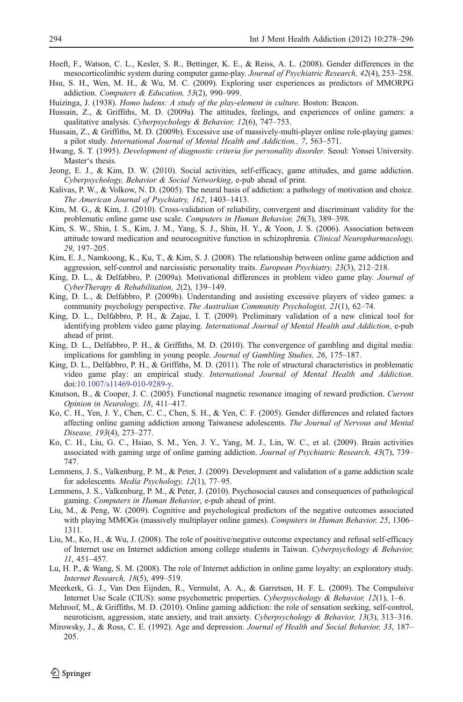- <span id="page-16-0"></span>Hoeft, F., Watson, C. L., Kesler, S. R., Bettinger, K. E., & Reiss, A. L. (2008). Gender differences in the mesocorticolimbic system during computer game-play. Journal of Psychiatric Research, 42(4), 253–258.
- Hsu, S. H., Wen, M. H., & Wu, M. C. (2009). Exploring user experiences as predictors of MMORPG addiction. Computers & Education, 53(2), 990–999.
- Huizinga, J. (1938). Homo ludens: A study of the play-element in culture. Boston: Beacon.
- Hussain, Z., & Griffiths, M. D. (2009a). The attitudes, feelings, and experiences of online gamers: a qualitative analysis. Cyberpsychology & Behavior, 12(6), 747–753.
- Hussain, Z., & Griffiths, M. D. (2009b). Excessive use of massively-multi-player online role-playing games: a pilot study. International Journal of Mental Health and Addiction., 7, 563–571.
- Hwang, S. T. (1995). Development of diagnostic criteria for personality disorder. Seoul: Yonsei University. Master's thesis.
- Jeong, E. J., & Kim, D. W. (2010). Social activities, self-efficacy, game attitudes, and game addiction. Cyberpsychology, Behavior & Social Networking, e-pub ahead of print.
- Kalivas, P. W., & Volkow, N. D. (2005). The neural basis of addiction: a pathology of motivation and choice. The American Journal of Psychiatry, 162, 1403–1413.
- Kim, M. G., & Kim, J. (2010). Cross-validation of reliability, convergent and discriminant validity for the problematic online game use scale. Computers in Human Behavior, 26(3), 389–398.
- Kim, S. W., Shin, I. S., Kim, J. M., Yang, S. J., Shin, H. Y., & Yoon, J. S. (2006). Association between attitude toward medication and neurocognitive function in schizophrenia. Clinical Neuropharmacology, 29, 197–205.
- Kim, E. J., Namkoong, K., Ku, T., & Kim, S. J. (2008). The relationship between online game addiction and aggression, self-control and narcissistic personality traits. European Psychiatry, 23(3), 212–218.
- King, D. L., & Delfabbro, P. (2009a). Motivational differences in problem video game play. Journal of CyberTherapy & Rehabilitation, 2(2), 139–149.
- King, D. L., & Delfabbro, P. (2009b). Understanding and assisting excessive players of video games: a community psychology perspective. The Australian Community Psychologist, 21(1), 62–74.
- King, D. L., Delfabbro, P. H., & Zajac, I. T. (2009). Preliminary validation of a new clinical tool for identifying problem video game playing. International Journal of Mental Health and Addiction, e-pub ahead of print.
- King, D. L., Delfabbro, P. H., & Griffiths, M. D. (2010). The convergence of gambling and digital media: implications for gambling in young people. Journal of Gambling Studies, 26, 175–187.
- King, D. L., Delfabbro, P. H., & Griffiths, M. D. (2011). The role of structural characteristics in problematic video game play: an empirical study. International Journal of Mental Health and Addiction. doi[:10.1007/s11469-010-9289-y.](http://dx.doi.org/10.1007/s11469-010-9289-y)
- Knutson, B., & Cooper, J. C. (2005). Functional magnetic resonance imaging of reward prediction. Current Opinion in Neurology, 18, 411–417.
- Ko, C. H., Yen, J. Y., Chen, C. C., Chen, S. H., & Yen, C. F. (2005). Gender differences and related factors affecting online gaming addiction among Taiwanese adolescents. The Journal of Nervous and Mental Disease, 193(4), 273–277.
- Ko, C. H., Liu, G. C., Hsiao, S. M., Yen, J. Y., Yang, M. J., Lin, W. C., et al. (2009). Brain activities associated with gaming urge of online gaming addiction. Journal of Psychiatric Research, 43(7), 739– 747.
- Lemmens, J. S., Valkenburg, P. M., & Peter, J. (2009). Development and validation of a game addiction scale for adolescents. Media Psychology, 12(1), 77–95.
- Lemmens, J. S., Valkenburg, P. M., & Peter, J. (2010). Psychosocial causes and consequences of pathological gaming. Computers in Human Behavior, e-pub ahead of print.
- Liu, M., & Peng, W. (2009). Cognitive and psychological predictors of the negative outcomes associated with playing MMOGs (massively multiplayer online games). Computers in Human Behavior, 25, 1306– 1311.
- Liu, M., Ko, H., & Wu, J. (2008). The role of positive/negative outcome expectancy and refusal self-efficacy of Internet use on Internet addiction among college students in Taiwan. Cyberpsychology & Behavior, 11, 451–457.
- Lu, H. P., & Wang, S. M. (2008). The role of Internet addiction in online game loyalty: an exploratory study. Internet Research, 18(5), 499–519.
- Meerkerk, G. J., Van Den Eijnden, R., Vermulst, A. A., & Garretsen, H. F. L. (2009). The Compulsive Internet Use Scale (CIUS): some psychometric properties. Cyberpsychology & Behavior, 12(1), 1–6.
- Mehroof, M., & Griffiths, M. D. (2010). Online gaming addiction: the role of sensation seeking, self-control, neuroticism, aggression, state anxiety, and trait anxiety. Cyberpsychology & Behavior, 13(3), 313–316.
- Mirowsky, J., & Ross, C. E. (1992). Age and depression. Journal of Health and Social Behavior, 33, 187– 205.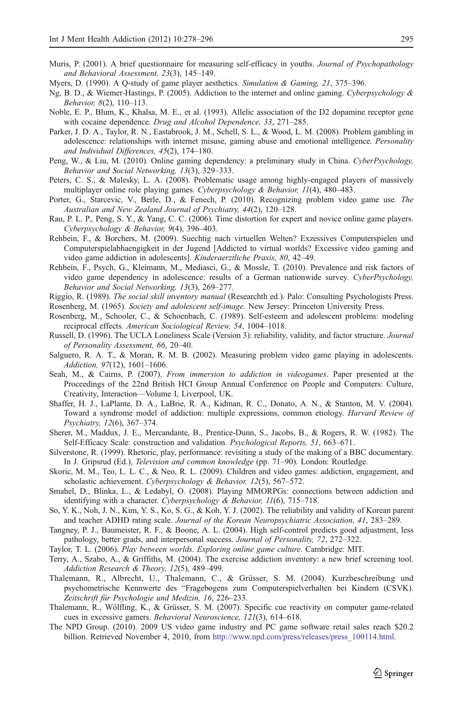- <span id="page-17-0"></span>Muris, P. (2001). A brief questionnaire for measuring self-efficacy in youths. Journal of Psychopathology and Behavioral Assessment, 23(3), 145–149.
- Myers, D. (1990). A Q-study of game player aesthetics. Simulation & Gaming, 21, 375–396.
- Ng, B. D., & Wiemer-Hastings, P. (2005). Addiction to the internet and online gaming. Cyberpsychology & Behavior, 8(2), 110–113.
- Noble, E. P., Blum, K., Khalsa, M. E., et al. (1993). Allelic association of the D2 dopamine receptor gene with cocaine dependence. Drug and Alcohol Dependence, 33, 271-285.
- Parker, J. D. A., Taylor, R. N., Eastabrook, J. M., Schell, S. L., & Wood, L. M. (2008). Problem gambling in adolescence: relationships with internet misuse, gaming abuse and emotional intelligence. Personality and Individual Differences, 45(2), 174–180.
- Peng, W., & Liu, M. (2010). Online gaming dependency: a preliminary study in China. CyberPsychology, Behavior and Social Networking, 13(3), 329–333.
- Peters, C. S., & Malesky, L. A. (2008). Problematic usage among highly-engaged players of massively multiplayer online role playing games. Cyberpsychology & Behavior, 11(4), 480–483.
- Porter, G., Starcevic, V., Berle, D., & Fenech, P. (2010). Recognizing problem video game use. The Australian and New Zealand Journal of Psychiatry, 44(2), 120–128.
- Rau, P. L. P., Peng, S. Y., & Yang, C. C. (2006). Time distortion for expert and novice online game players. Cyberpsychology & Behavior, 9(4), 396–403.
- Rehbein, F., & Borchers, M. (2009). Suechtig nach virtuellen Welten? Exzessives Computerspielen und Computerspielabhaengigkeit in der Jugend [Addicted to virtual worlds? Excessive video gaming and video game addiction in adolescents]. Kinderaerztliche Praxis, 80, 42–49.
- Rehbein, F., Psych, G., Kleimann, M., Mediasci, G., & Mossle, T. (2010). Prevalence and risk factors of video game dependency in adolescence: results of a German nationwide survey. CyberPsychology, Behavior and Social Networking, 13(3), 269–277.
- Riggio, R. (1989). The social skill inventory manual (Researchth ed.). Palo: Consulting Psychologists Press.
- Rosenberg, M. (1965). Society and adolescent self-image. New Jersey: Princeton University Press.
- Rosenberg, M., Schooler, C., & Schoenbach, C. (1989). Self-esteem and adolescent problems: modeling reciprocal effects. American Sociological Review, 54, 1004–1018.
- Russell, D. (1996). The UCLA Loneliness Scale (Version 3): reliability, validity, and factor structure. Journal of Personality Assessment, 66, 20–40.
- Salguero, R. A. T., & Moran, R. M. B. (2002). Measuring problem video game playing in adolescents. Addiction, 97(12), 1601–1606.
- Seah, M., & Cairns, P. (2007). From immersion to addiction in videogames. Paper presented at the Proceedings of the 22nd British HCI Group Annual Conference on People and Computers: Culture, Creativity, Interaction—Volume I, Liverpool, UK.
- Shaffer, H. J., LaPlante, D. A., LaBrie, R. A., Kidman, R. C., Donato, A. N., & Stanton, M. V. (2004). Toward a syndrome model of addiction: multiple expressions, common etiology. Harvard Review of Psychiatry, 12(6), 367–374.
- Sherer, M., Maddux, J. E., Mercandante, B., Prentice-Dunn, S., Jacobs, B., & Rogers, R. W. (1982). The Self-Efficacy Scale: construction and validation. Psychological Reports, 51, 663–671.
- Silverstone, R. (1999). Rhetoric, play, performance: revisiting a study of the making of a BBC documentary. In J. Gripsrud (Ed.), Television and common knowledge (pp. 71–90). London: Routledge.
- Skoric, M. M., Teo, L. L. C., & Neo, R. L. (2009). Children and video games: addiction, engagement, and scholastic achievement. Cyberpsychology & Behavior, 12(5), 567–572.
- Smahel, D., Blinka, L., & Ledabyl, O. (2008). Playing MMORPGs: connections between addiction and identifying with a character. Cyberpsychology & Behavior, 11(6), 715–718.
- So, Y. K., Noh, J. N., Kim, Y. S., Ko, S. G., & Koh, Y. J. (2002). The reliability and validity of Korean parent and teacher ADHD rating scale. Journal of the Korean Neuropsychiatric Association, 41, 283–289.
- Tangney, P. J., Baumeister, R. F., & Boone, A. L. (2004). High self-control predicts good adjustment, less pathology, better grads, and interpersonal success. Journal of Personality, 72, 272–322.
- Taylor, T. L. (2006). Play between worlds. Exploring online game culture. Cambridge: MIT.
- Terry, A., Szabo, A., & Griffiths, M. (2004). The exercise addiction inventory: a new brief screening tool. Addiction Research & Theory, 12(5), 489–499.
- Thalemann, R., Albrecht, U., Thalemann, C., & Grüsser, S. M. (2004). Kurzbeschreibung und psychometrische Kennwerte des "Fragebogens zum Computerspielverhalten bei Kindern (CSVK). Zeitschrift für Psychologie und Medizin, 16, 226–233.
- Thalemann, R., Wölfling, K., & Grüsser, S. M. (2007). Specific cue reactivity on computer game-related cues in excessive gamers. Behavioral Neuroscience, 121(3), 614–618.
- The NPD Group. (2010). 2009 US video game industry and PC game software retail sales reach \$20.2 billion. Retrieved November 4, 2010, from [http://www.npd.com/press/releases/press\\_100114.html](http://www.npd.com/press/releases/press_100114.html).